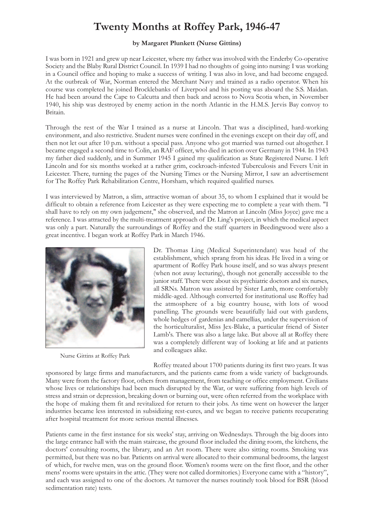## **Twenty Months at Roffey Park, 1946-47**

## **by Margaret Plunkett (Nurse Gittins)**

I was born in 1921 and grew up near Leicester, where my father was involved with the Enderby Co-operative Society and the Blaby Rural District Council. In 1939 I had no thoughts of going into nursing: I was working in a Council office and hoping to make a success of writing. I was also in love, and had become engaged. At the outbreak of War, Norman entered the Merchant Navy and trained as a radio operator. When his course was completed he joined Brocklebanks of Liverpool and his posting was aboard the S.S. Maidan. He had been around the Cape to Calcutta and then back and across to Nova Scotia when, in November 1940, his ship was destroyed by enemy action in the north Atlantic in the H.M.S. Jervis Bay convoy to Britain.

Through the rest of the War I trained as a nurse at Lincoln. That was a disciplined, hard-working environment, and also restrictive. Student nurses were confined in the evenings except on their day off, and then not let out after 10 p.m. without a special pass. Anyone who got married was turned out altogether. I became engaged a second time to Colin, an RAF officer, who died in action over Germany in 1944. In 1943 my father died suddenly, and in Summer 1945 I gained my qualification as State Registered Nurse. I left Lincoln and for six months worked at a rather grim, cockroach-infested Tuberculosis and Fevers Unit in Leicester. There, turning the pages of the Nursing Times or the Nursing Mirror, I saw an advertisement for The Roffey Park Rehabilitation Centre, Horsham, which required qualified nurses.

I was interviewed by Matron, a slim, attractive woman of about 35, to whom I explained that it would be difficult to obtain a reference from Leicester as they were expecting me to complete a year with them. "I shall have to rely on my own judgement," she observed, and the Matron at Lincoln (Miss Joyce) gave me a reference. I was attracted by the multi-treatment approach of Dr. Ling's project, in which the medical aspect was only a part. Naturally the surroundings of Roffey and the staff quarters in Beedingwood were also a great incentive. I began work at Roffey Park in March 1946.



Nurse Gittins at Roffey Park

Dr. Thomas Ling (Medical Superintendant) was head of the establishment, which sprang from his ideas. He lived in a wing or apartment of Roffey Park house itself, and so was always present (when not away lecturing), though not generally accessible to the junior staff. There were about six psychiatric doctors and six nurses, all SRNs. Matron was assisted by Sister Lamb, more comfortably middle-aged. Although converted for institutional use Roffey had the atmosphere of a big country house, with lots of wood panelling. The grounds were beautifully laid out with gardens, whole hedges of gardenias and camellias, under the supervision of the horticulturalist, Miss Jex-Blake, a particular friend of Sister Lamb's. There was also a large lake. But above all at Roffey there was a completely different way of looking at life and at patients and colleagues alike.

Roffey treated about 1700 patients during its first two years. It was

sponsored by large firms and manufacturers, and the patients came from a wide variety of backgrounds. Many were from the factory floor, others from management, from teaching or office employment. Civilians whose lives or relationships had been much disrupted by the War, or were suffering from high levels of stress and strain or depression, breaking down or burning out, were often referred from the workplace with the hope of making them fit and revitalized for return to their jobs. As time went on however the larger industries became less interested in subsidizing rest-cures, and we began to receive patients recuperating after hospital treatment for more serious mental illnesses.

Patients came in the first instance for six weeks' stay, arriving on Wednesdays. Through the big doors into the large entrance hall with the main staircase, the ground floor included the dining room, the kitchens, the doctors' consulting rooms, the library, and an Art room. There were also sitting rooms. Smoking was permitted, but there was no bar. Patients on arrival were allocated to their communal bedrooms, the largest of which, for twelve men, was on the ground floor. Women's rooms were on the first floor, and the other mens' rooms were upstairs in the attic. (They were not called dormitories.) Everyone came with a "history", and each was assigned to one of the doctors. At turnover the nurses routinely took blood for BSR (blood sedimentation rate) tests.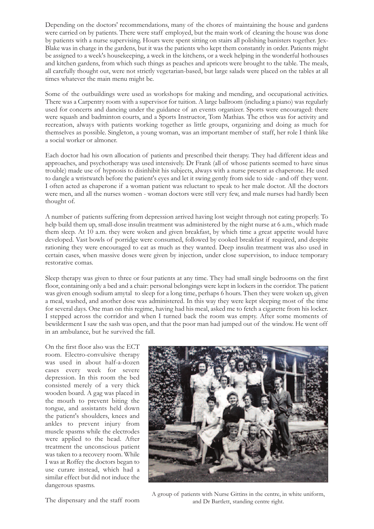Depending on the doctors' recommendations, many of the chores of maintaining the house and gardens were carried on by patients. There were staff employed, but the main work of cleaning the house was done by patients with a nurse supervising. Hours were spent sitting on stairs all polishing banisters together. Jex-Blake was in charge in the gardens, but it was the patients who kept them constantly in order. Patients might be assigned to a week's housekeeping, a week in the kitchens, or a week helping in the wonderful hothouses and kitchen gardens, from which such things as peaches and apricots were brought to the table. The meals, all carefully thought out, were not strictly vegetarian-based, but large salads were placed on the tables at all times whatever the main menu might be.

Some of the outbuildings were used as workshops for making and mending, and occupational activities. There was a Carpentry room with a supervisor for tuition. A large ballroom (including a piano) was regularly used for concerts and dancing under the guidance of an events organizer. Sports were encouraged: there were squash and badminton courts, and a Sports Instructor, Tom Mathias. The ethos was for activity and recreation, always with patients working together as little groups, organizing and doing as much for themselves as possible. Singleton, a young woman, was an important member of staff, her role I think like a social worker or almoner.

Each doctor had his own allocation of patients and prescribed their therapy. They had different ideas and approaches, and psychotherapy was used intensively. Dr Frank (all of whose patients seemed to have sinus trouble) made use of hypnosis to disinhibit his subjects, always with a nurse present as chaperone. He used to dangle a wristwatch before the patient's eyes and let it swing gently from side to side - and off they went. I often acted as chaperone if a woman patient was reluctant to speak to her male doctor. All the doctors were men, and all the nurses women - woman doctors were still very few, and male nurses had hardly been thought of.

A number of patients suffering from depression arrived having lost weight through not eating properly. To help build them up, small-dose insulin treatment was administered by the night nurse at 6 a.m., which made them sleep. At 10 a.m. they were woken and given breakfast, by which time a great appetite would have developed. Vast bowls of porridge were consumed, followed by cooked breakfast if required, and despite rationing they were encouraged to eat as much as they wanted. Deep insulin treatment was also used in certain cases, when massive doses were given by injection, under close supervision, to induce temporary restorative comas.

Sleep therapy was given to three or four patients at any time. They had small single bedrooms on the first floor, containing only a bed and a chair: personal belongings were kept in lockers in the corridor. The patient was given enough sodium amytal to sleep for a long time, perhaps 6 hours. Then they were woken up, given a meal, washed, and another dose was administered. In this way they were kept sleeping most of the time for several days. One man on this regime, having had his meal, asked me to fetch a cigarette from his locker. I stepped across the corridor and when I turned back the room was empty. After some moments of bewilderment I saw the sash was open, and that the poor man had jumped out of the window. He went off in an ambulance, but he survived the fall.

On the first floor also was the ECT room. Electro-convulsive therapy was used in about half-a-dozen cases every week for severe depression. In this room the bed consisted merely of a very thick wooden board. A gag was placed in the mouth to prevent biting the tongue, and assistants held down the patient's shoulders, knees and ankles to prevent injury from muscle spasms while the electrodes were applied to the head. After treatment the unconscious patient was taken to a recovery room. While I was at Roffey the doctors began to use curare instead, which had a similar effect but did not induce the dangerous spasms.



A group of patients with Nurse Gittins in the centre, in white uniform, and Dr Bartlett, standing centre right.

The dispensary and the staff room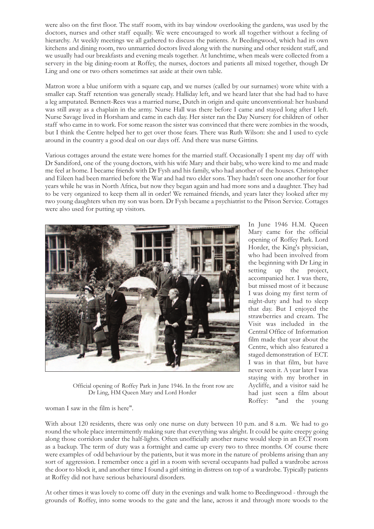were also on the first floor. The staff room, with its bay window overlooking the gardens, was used by the doctors, nurses and other staff equally. We were encouraged to work all together without a feeling of hierarchy. At weekly meetings we all gathered to discuss the patients. At Beedingwood, which had its own kitchens and dining room, two unmarried doctors lived along with the nursing and other resident staff, and we usually had our breakfasts and evening meals together. At lunchtime, when meals were collected from a servery in the big dining-room at Roffey, the nurses, doctors and patients all mixed together, though Dr Ling and one or two others sometimes sat aside at their own table.

Matron wore a blue uniform with a square cap, and we nurses (called by our surnames) wore white with a smaller cap. Staff retention was generally steady. Halliday left, and we heard later that she had had to have a leg amputated. Bennett-Rees was a married nurse, Dutch in origin and quite unconventional: her husband was still away as a chaplain in the army. Nurse Hall was there before I came and stayed long after I left. Nurse Savage lived in Horsham and came in each day. Her sister ran the Day Nursery for children of other staff who came in to work. For some reason the sister was convinced that there were zombies in the woods, but I think the Centre helped her to get over those fears. There was Ruth Wilson: she and I used to cycle around in the country a good deal on our days off. And there was nurse Gittins.

Various cottages around the estate were homes for the married staff. Occasionally I spent my day off with Dr Sandiford, one of the young doctors, with his wife Mary and their baby, who were kind to me and made me feel at home. I became friends with Dr Fysh and his family, who had another of the houses. Christopher and Eileen had been married before the War and had two elder sons. They hadn't seen one another for four years while he was in North Africa, but now they began again and had more sons and a daughter. They had to be very organized to keep them all in order! We remained friends, and years later they looked after my two young daughters when my son was born. Dr Fysh became a psychiatrist to the Prison Service. Cottages were also used for putting up visitors.



Official opening of Roffey Park in June 1946. In the front row are Dr Ling, HM Queen Mary and Lord Horder

Mary came for the official opening of Roffey Park. Lord Horder, the King's physician, who had been involved from the beginning with Dr Ling in setting up the project, accompanied her. I was there, but missed most of it because I was doing my first term of night-duty and had to sleep that day. But I enjoyed the strawberries and cream. The Visit was included in the Central Office of Information film made that year about the Centre, which also featured a staged demonstration of ECT. I was in that film, but have never seen it. A year later I was staying with my brother in Aycliffe, and a visitor said he had just seen a film about Roffey: "and the young

woman I saw in the film is here".

With about 120 residents, there was only one nurse on duty between 10 p.m. and 8 a.m. We had to go round the whole place intermittently making sure that everything was alright. It could be quite creepy going along those corridors under the half-lights. Often unofficially another nurse would sleep in an ECT room as a backup. The term of duty was a fortnight and came up every two to three months. Of course there were examples of odd behaviour by the patients, but it was more in the nature of problems arising than any sort of aggression. I remember once a girl in a room with several occupants had pulled a wardrobe across the door to block it, and another time I found a girl sitting in distress on top of a wardrobe. Typically patients at Roffey did not have serious behavioural disorders.

At other times it was lovely to come off duty in the evenings and walk home to Beedingwood - through the grounds of Roffey, into some woods to the gate and the lane, across it and through more woods to the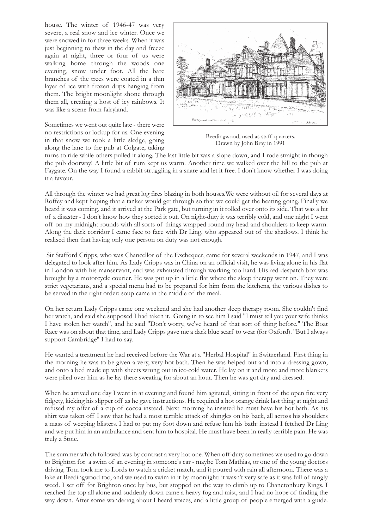house. The winter of 1946-47 was very severe, a real snow and ice winter. Once we were snowed in for three weeks. When it was just beginning to thaw in the day and freeze again at night, three or four of us were walking home through the woods one evening, snow under foot. All the bare branches of the trees were coated in a thin layer of ice with frozen drips hanging from them. The bright moonlight shone through them all, creating a host of icy rainbows. It was like a scene from fairyland.

Sometimes we went out quite late - there were no restrictions or lockup for us. One evening in that snow we took a little sledge, going along the lane to the pub at Colgate, taking



Beedingwood, used as staff quarters. Drawn by John Bray in 1991

turns to ride while others pulled it along. The last little bit was a slope down, and I rode straight in though the pub doorway! A little bit of rum kept us warm. Another time we walked over the hill to the pub at Faygate. On the way I found a rabbit struggling in a snare and let it free. I don't know whether I was doing it a favour.

All through the winter we had great log fires blazing in both houses.We were without oil for several days at Roffey and kept hoping that a tanker would get through so that we could get the heating going. Finally we heard it was coming, and it arrived at the Park gate, but turning in it rolled over onto its side. That was a bit of a disaster - I don't know how they sorted it out. On night-duty it was terribly cold, and one night I went off on my midnight rounds with all sorts of things wrapped round my head and shoulders to keep warm. Along the dark corridor I came face to face with Dr Ling, who appeared out of the shadows. I think he realised then that having only one person on duty was not enough.

Sir Stafford Cripps, who was Chancellor of the Exchequer, came for several weekends in 1947, and I was delegated to look after him. As Lady Cripps was in China on an official visit, he was living alone in his flat in London with his manservant, and was exhausted through working too hard. His red despatch box was brought by a motorcycle courier. He was put up in a little flat where the sleep therapy went on. They were strict vegetarians, and a special menu had to be prepared for him from the kitchens, the various dishes to be served in the right order: soup came in the middle of the meal.

On her return Lady Cripps came one weekend and she had another sleep therapy room. She couldn't find her watch, and said she supposed I had taken it. Going in to see him I said "I must tell you your wife thinks I have stolen her watch", and he said "Don't worry, we've heard of that sort of thing before." The Boat Race was on about that time, and Lady Cripps gave me a dark blue scarf to wear (for Oxford). ''But I always support Cambridge'' I had to say.

He wanted a treatment he had received before the War at a "Herbal Hospital" in Switzerland. First thing in the morning he was to be given a very, very hot bath. Then he was helped out and into a dressing gown, and onto a bed made up with sheets wrung out in ice-cold water. He lay on it and more and more blankets were piled over him as he lay there sweating for about an hour. Then he was got dry and dressed.

When he arrived one day I went in at evening and found him agitated, sitting in front of the open fire very fidgety, kicking his slipper off as he gave instructions. He required a hot orange drink last thing at night and refused my offer of a cup of cocoa instead. Next morning he insisted he must have his hot bath. As his shirt was taken off I saw that he had a most terrible attack of shingles on his back, all across his shoulders a mass of weeping blisters. I had to put my foot down and refuse him his bath: instead I fetched Dr Ling and we put him in an ambulance and sent him to hospital. He must have been in really terrible pain. He was truly a Stoic.

The summer which followed was by contrast a very hot one. When off-duty sometimes we used to go down to Brighton for a swim of an evening in someone's car - maybe Tom Mathias, or one of the young doctors driving. Tom took me to Lords to watch a cricket match, and it poured with rain all afternoon. There was a lake at Beedingwood too, and we used to swim in it by moonlight: it wasn't very safe as it was full of tangly weed. I set off for Brighton once by bus, but stopped on the way to climb up to Chanctonbury Rings. I reached the top all alone and suddenly down came a heavy fog and mist, and I had no hope of finding the way down. After some wandering about I heard voices, and a little group of people emerged with a guide.